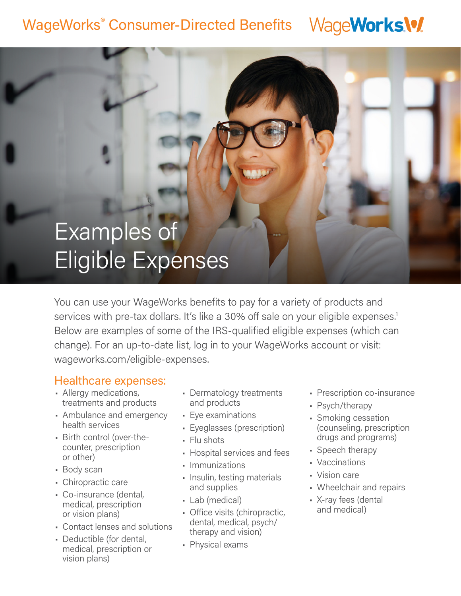#### WageWorks.\% WageWorks® Consumer-Directed Benefits

# Examples of Eligible Expenses

You can use your WageWorks benefits to pay for a variety of products and services with pre-tax dollars. It's like a 30% off sale on your eligible expenses.<sup>1</sup> Below are examples of some of the IRS-qualified eligible expenses (which can change). For an up-to-date list, log in to your WageWorks account or visit: wageworks.com/eligible-expenses.

### Healthcare expenses:

- Allergy medications, treatments and products
- Ambulance and emergency health services
- Birth control (over-thecounter, prescription or other)
- Body scan
- Chiropractic care
- Co-insurance (dental, medical, prescription or vision plans)
- Contact lenses and solutions
- Deductible (for dental, medical, prescription or vision plans)
- Dermatology treatments and products
- Eye examinations
- Eyeglasses (prescription)
- Flu shots
- Hospital services and fees
- Immunizations
- Insulin, testing materials and supplies
- Lab (medical)
- Office visits (chiropractic, dental, medical, psych/ therapy and vision)
- Physical exams
- Prescription co-insurance
- Psych/therapy
- Smoking cessation (counseling, prescription drugs and programs)
- Speech therapy
- Vaccinations
- Vision care
- Wheelchair and repairs
- X-ray fees (dental and medical)